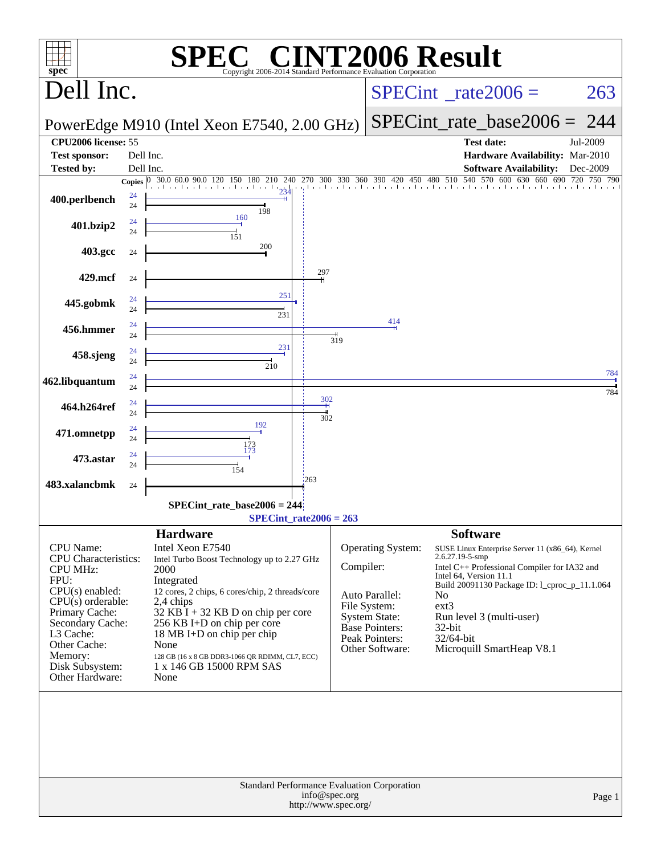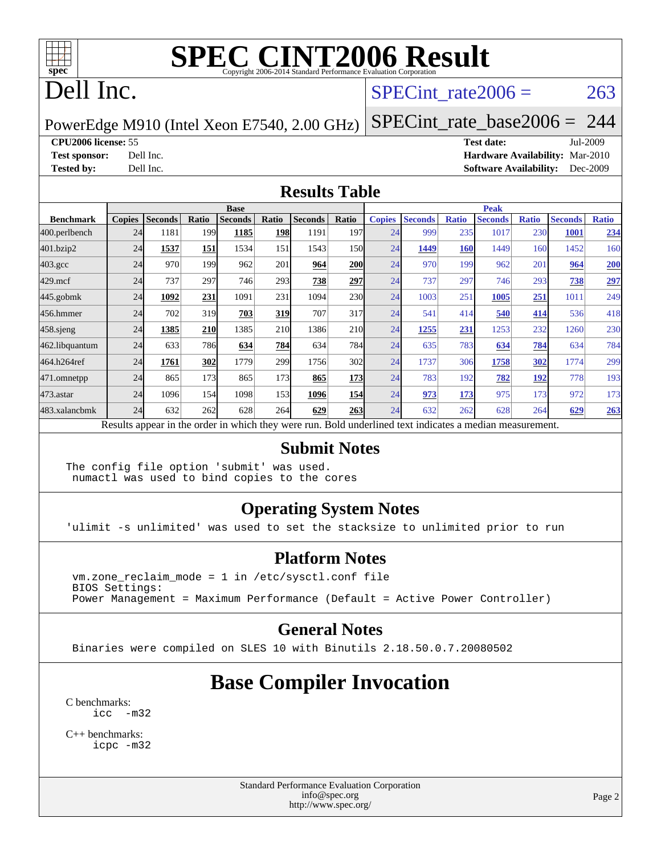

### Dell Inc.

#### SPECint rate $2006 = 263$

#### PowerEdge M910 (Intel Xeon E7540, 2.00 GHz) [SPECint\\_rate\\_base2006 =](http://www.spec.org/auto/cpu2006/Docs/result-fields.html#SPECintratebase2006) 244

**[CPU2006 license:](http://www.spec.org/auto/cpu2006/Docs/result-fields.html#CPU2006license)** 55 **[Test date:](http://www.spec.org/auto/cpu2006/Docs/result-fields.html#Testdate)** Jul-2009 **[Test sponsor:](http://www.spec.org/auto/cpu2006/Docs/result-fields.html#Testsponsor)** Dell Inc. **[Hardware Availability:](http://www.spec.org/auto/cpu2006/Docs/result-fields.html#HardwareAvailability)** Mar-2010 **[Tested by:](http://www.spec.org/auto/cpu2006/Docs/result-fields.html#Testedby)** Dell Inc. **[Software Availability:](http://www.spec.org/auto/cpu2006/Docs/result-fields.html#SoftwareAvailability)** Dec-2009

#### **[Results Table](http://www.spec.org/auto/cpu2006/Docs/result-fields.html#ResultsTable)**

|                    | <b>Base</b>   |                |       |                                                                                                          |            |                |                  | <b>Peak</b>   |                |              |                |              |                |              |
|--------------------|---------------|----------------|-------|----------------------------------------------------------------------------------------------------------|------------|----------------|------------------|---------------|----------------|--------------|----------------|--------------|----------------|--------------|
| <b>Benchmark</b>   | <b>Copies</b> | <b>Seconds</b> | Ratio | <b>Seconds</b>                                                                                           | Ratio      | <b>Seconds</b> | Ratio            | <b>Copies</b> | <b>Seconds</b> | <b>Ratio</b> | <b>Seconds</b> | <b>Ratio</b> | <b>Seconds</b> | <b>Ratio</b> |
| 400.perlbench      | 24            | 1181           | 199   | 1185                                                                                                     | <b>198</b> | 1191           | 197 <sub>l</sub> | 24            | 999            | 235          | 1017           | 230          | 1001           | 234          |
| 401.bzip2          | 24            | 1537           | 151   | 1534                                                                                                     | 151        | 1543           | 150l             | 24            | 1449           | <b>160</b>   | 1449           | 160          | 1452           | 160          |
| $403.\mathrm{gcc}$ | 24            | 970            | 199   | 962                                                                                                      | 201        | 964            | <b>200</b>       | 24            | 970            | 199          | 962            | 201          | 964            | 200          |
| $429$ .mcf         | 24            | 737            | 297   | 746                                                                                                      | 293        | 738            | 297              | 24            | 737            | 297          | 746            | 293          | 738            | 297          |
| $445$ .gobmk       | 24            | 1092           | 231   | 1091                                                                                                     | 231        | 1094           | 230              | 24            | 1003           | 251          | 1005           | 251          | 1011           | 249          |
| 456.hmmer          | 24            | 702            | 319   | 703                                                                                                      | 319        | 707            | 317              | 24            | 541            | 414          | 540            | 414          | 536            | 418          |
| $458$ .sjeng       | 24            | 1385           | 210   | 1385                                                                                                     | 210        | 1386           | 210              | 24            | 1255           | 231          | 1253           | 232          | 1260           | 230          |
| 462.libquantum     | 24            | 633            | 786   | 634                                                                                                      | 784        | 634            | 784              | 24            | 635            | 783          | 634            | 784          | 634            | 784          |
| 464.h264ref        | 24            | 1761           | 302   | 1779                                                                                                     | 299        | 1756           | 302              | 24            | 1737           | 306          | 1758           | <u>302</u>   | 1774           | 299          |
| 471.omnetpp        | 24            | 865            | 173   | 865                                                                                                      | 173        | 865            | <b>173</b>       | 24            | 783            | 192          | 782            | 192          | 778            | 193          |
| $473.$ astar       | 24            | 1096           | 154   | 1098                                                                                                     | 153        | 1096           | 154              | 24            | 973            | 173          | 975            | 173          | 972            | 173          |
| 483.xalancbmk      | 24            | 632            | 262   | 628                                                                                                      | 264        | 629            | 263              | 24            | 632            | 262          | 628            | 264          | 629            | 263          |
|                    |               |                |       | Results appear in the order in which they were run. Bold underlined text indicates a median measurement. |            |                |                  |               |                |              |                |              |                |              |

#### **[Submit Notes](http://www.spec.org/auto/cpu2006/Docs/result-fields.html#SubmitNotes)**

The config file option 'submit' was used. numactl was used to bind copies to the cores

#### **[Operating System Notes](http://www.spec.org/auto/cpu2006/Docs/result-fields.html#OperatingSystemNotes)**

'ulimit -s unlimited' was used to set the stacksize to unlimited prior to run

#### **[Platform Notes](http://www.spec.org/auto/cpu2006/Docs/result-fields.html#PlatformNotes)**

 $vm.zone$  reclaim mode = 1 in /etc/sysctl.conf file BIOS Settings: Power Management = Maximum Performance (Default = Active Power Controller)

#### **[General Notes](http://www.spec.org/auto/cpu2006/Docs/result-fields.html#GeneralNotes)**

Binaries were compiled on SLES 10 with Binutils 2.18.50.0.7.20080502

#### **[Base Compiler Invocation](http://www.spec.org/auto/cpu2006/Docs/result-fields.html#BaseCompilerInvocation)**

[C benchmarks](http://www.spec.org/auto/cpu2006/Docs/result-fields.html#Cbenchmarks): [icc -m32](http://www.spec.org/cpu2006/results/res2010q3/cpu2006-20100607-11600.flags.html#user_CCbase_intel_icc_32bit_5ff4a39e364c98233615fdd38438c6f2)

[C++ benchmarks:](http://www.spec.org/auto/cpu2006/Docs/result-fields.html#CXXbenchmarks) [icpc -m32](http://www.spec.org/cpu2006/results/res2010q3/cpu2006-20100607-11600.flags.html#user_CXXbase_intel_icpc_32bit_4e5a5ef1a53fd332b3c49e69c3330699)

> Standard Performance Evaluation Corporation [info@spec.org](mailto:info@spec.org) <http://www.spec.org/>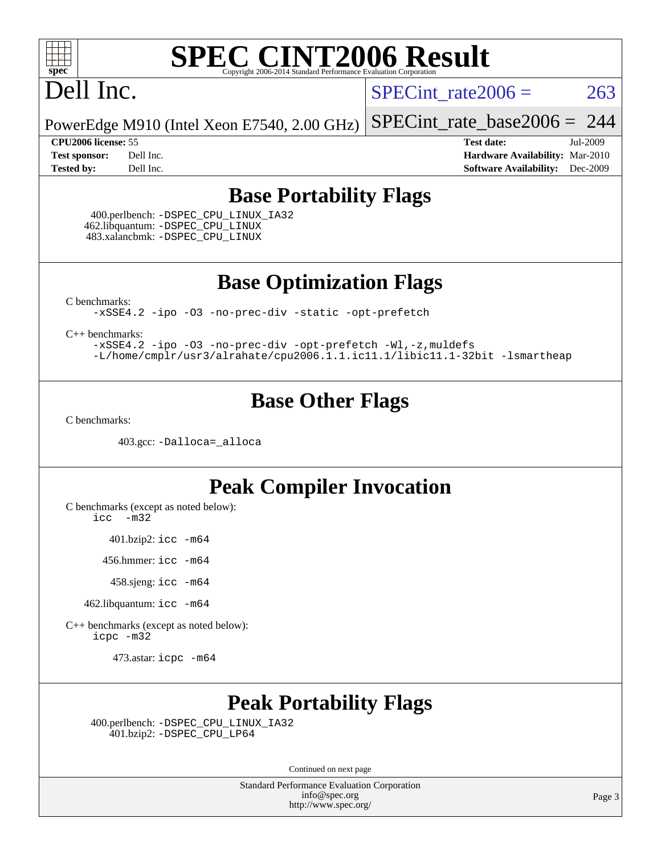

### Dell Inc.

SPECint rate $2006 = 263$ 

[SPECint\\_rate\\_base2006 =](http://www.spec.org/auto/cpu2006/Docs/result-fields.html#SPECintratebase2006) 244

PowerEdge M910 (Intel Xeon E7540, 2.00 GHz)

**[CPU2006 license:](http://www.spec.org/auto/cpu2006/Docs/result-fields.html#CPU2006license)** 55 **[Test date:](http://www.spec.org/auto/cpu2006/Docs/result-fields.html#Testdate)** Jul-2009 **[Test sponsor:](http://www.spec.org/auto/cpu2006/Docs/result-fields.html#Testsponsor)** Dell Inc. **[Hardware Availability:](http://www.spec.org/auto/cpu2006/Docs/result-fields.html#HardwareAvailability)** Mar-2010 **[Tested by:](http://www.spec.org/auto/cpu2006/Docs/result-fields.html#Testedby)** Dell Inc. **[Software Availability:](http://www.spec.org/auto/cpu2006/Docs/result-fields.html#SoftwareAvailability)** Dec-2009

#### **[Base Portability Flags](http://www.spec.org/auto/cpu2006/Docs/result-fields.html#BasePortabilityFlags)**

 400.perlbench: [-DSPEC\\_CPU\\_LINUX\\_IA32](http://www.spec.org/cpu2006/results/res2010q3/cpu2006-20100607-11600.flags.html#b400.perlbench_baseCPORTABILITY_DSPEC_CPU_LINUX_IA32) 462.libquantum: [-DSPEC\\_CPU\\_LINUX](http://www.spec.org/cpu2006/results/res2010q3/cpu2006-20100607-11600.flags.html#b462.libquantum_baseCPORTABILITY_DSPEC_CPU_LINUX) 483.xalancbmk: [-DSPEC\\_CPU\\_LINUX](http://www.spec.org/cpu2006/results/res2010q3/cpu2006-20100607-11600.flags.html#b483.xalancbmk_baseCXXPORTABILITY_DSPEC_CPU_LINUX)

**[Base Optimization Flags](http://www.spec.org/auto/cpu2006/Docs/result-fields.html#BaseOptimizationFlags)**

[C benchmarks](http://www.spec.org/auto/cpu2006/Docs/result-fields.html#Cbenchmarks):

[-xSSE4.2](http://www.spec.org/cpu2006/results/res2010q3/cpu2006-20100607-11600.flags.html#user_CCbase_f-xSSE42_f91528193cf0b216347adb8b939d4107) [-ipo](http://www.spec.org/cpu2006/results/res2010q3/cpu2006-20100607-11600.flags.html#user_CCbase_f-ipo) [-O3](http://www.spec.org/cpu2006/results/res2010q3/cpu2006-20100607-11600.flags.html#user_CCbase_f-O3) [-no-prec-div](http://www.spec.org/cpu2006/results/res2010q3/cpu2006-20100607-11600.flags.html#user_CCbase_f-no-prec-div) [-static](http://www.spec.org/cpu2006/results/res2010q3/cpu2006-20100607-11600.flags.html#user_CCbase_f-static) [-opt-prefetch](http://www.spec.org/cpu2006/results/res2010q3/cpu2006-20100607-11600.flags.html#user_CCbase_f-opt-prefetch)

[C++ benchmarks:](http://www.spec.org/auto/cpu2006/Docs/result-fields.html#CXXbenchmarks)

[-xSSE4.2](http://www.spec.org/cpu2006/results/res2010q3/cpu2006-20100607-11600.flags.html#user_CXXbase_f-xSSE42_f91528193cf0b216347adb8b939d4107) [-ipo](http://www.spec.org/cpu2006/results/res2010q3/cpu2006-20100607-11600.flags.html#user_CXXbase_f-ipo) [-O3](http://www.spec.org/cpu2006/results/res2010q3/cpu2006-20100607-11600.flags.html#user_CXXbase_f-O3) [-no-prec-div](http://www.spec.org/cpu2006/results/res2010q3/cpu2006-20100607-11600.flags.html#user_CXXbase_f-no-prec-div) [-opt-prefetch](http://www.spec.org/cpu2006/results/res2010q3/cpu2006-20100607-11600.flags.html#user_CXXbase_f-opt-prefetch) [-Wl,-z,muldefs](http://www.spec.org/cpu2006/results/res2010q3/cpu2006-20100607-11600.flags.html#user_CXXbase_link_force_multiple1_74079c344b956b9658436fd1b6dd3a8a) [-L/home/cmplr/usr3/alrahate/cpu2006.1.1.ic11.1/libic11.1-32bit -lsmartheap](http://www.spec.org/cpu2006/results/res2010q3/cpu2006-20100607-11600.flags.html#user_CXXbase_SmartHeap_d86dffe4a79b79ef8890d5cce17030c3)

#### **[Base Other Flags](http://www.spec.org/auto/cpu2006/Docs/result-fields.html#BaseOtherFlags)**

[C benchmarks](http://www.spec.org/auto/cpu2006/Docs/result-fields.html#Cbenchmarks):

403.gcc: [-Dalloca=\\_alloca](http://www.spec.org/cpu2006/results/res2010q3/cpu2006-20100607-11600.flags.html#b403.gcc_baseEXTRA_CFLAGS_Dalloca_be3056838c12de2578596ca5467af7f3)

#### **[Peak Compiler Invocation](http://www.spec.org/auto/cpu2006/Docs/result-fields.html#PeakCompilerInvocation)**

[C benchmarks \(except as noted below\)](http://www.spec.org/auto/cpu2006/Docs/result-fields.html#Cbenchmarksexceptasnotedbelow):

[icc -m32](http://www.spec.org/cpu2006/results/res2010q3/cpu2006-20100607-11600.flags.html#user_CCpeak_intel_icc_32bit_5ff4a39e364c98233615fdd38438c6f2)

401.bzip2: [icc -m64](http://www.spec.org/cpu2006/results/res2010q3/cpu2006-20100607-11600.flags.html#user_peakCCLD401_bzip2_intel_icc_64bit_bda6cc9af1fdbb0edc3795bac97ada53)

456.hmmer: [icc -m64](http://www.spec.org/cpu2006/results/res2010q3/cpu2006-20100607-11600.flags.html#user_peakCCLD456_hmmer_intel_icc_64bit_bda6cc9af1fdbb0edc3795bac97ada53)

458.sjeng: [icc -m64](http://www.spec.org/cpu2006/results/res2010q3/cpu2006-20100607-11600.flags.html#user_peakCCLD458_sjeng_intel_icc_64bit_bda6cc9af1fdbb0edc3795bac97ada53)

462.libquantum: [icc -m64](http://www.spec.org/cpu2006/results/res2010q3/cpu2006-20100607-11600.flags.html#user_peakCCLD462_libquantum_intel_icc_64bit_bda6cc9af1fdbb0edc3795bac97ada53)

[C++ benchmarks \(except as noted below\):](http://www.spec.org/auto/cpu2006/Docs/result-fields.html#CXXbenchmarksexceptasnotedbelow) [icpc -m32](http://www.spec.org/cpu2006/results/res2010q3/cpu2006-20100607-11600.flags.html#user_CXXpeak_intel_icpc_32bit_4e5a5ef1a53fd332b3c49e69c3330699)

473.astar: [icpc -m64](http://www.spec.org/cpu2006/results/res2010q3/cpu2006-20100607-11600.flags.html#user_peakCXXLD473_astar_intel_icpc_64bit_fc66a5337ce925472a5c54ad6a0de310)

#### **[Peak Portability Flags](http://www.spec.org/auto/cpu2006/Docs/result-fields.html#PeakPortabilityFlags)**

 400.perlbench: [-DSPEC\\_CPU\\_LINUX\\_IA32](http://www.spec.org/cpu2006/results/res2010q3/cpu2006-20100607-11600.flags.html#b400.perlbench_peakCPORTABILITY_DSPEC_CPU_LINUX_IA32) 401.bzip2: [-DSPEC\\_CPU\\_LP64](http://www.spec.org/cpu2006/results/res2010q3/cpu2006-20100607-11600.flags.html#suite_peakCPORTABILITY401_bzip2_DSPEC_CPU_LP64)

Continued on next page

Standard Performance Evaluation Corporation [info@spec.org](mailto:info@spec.org) <http://www.spec.org/>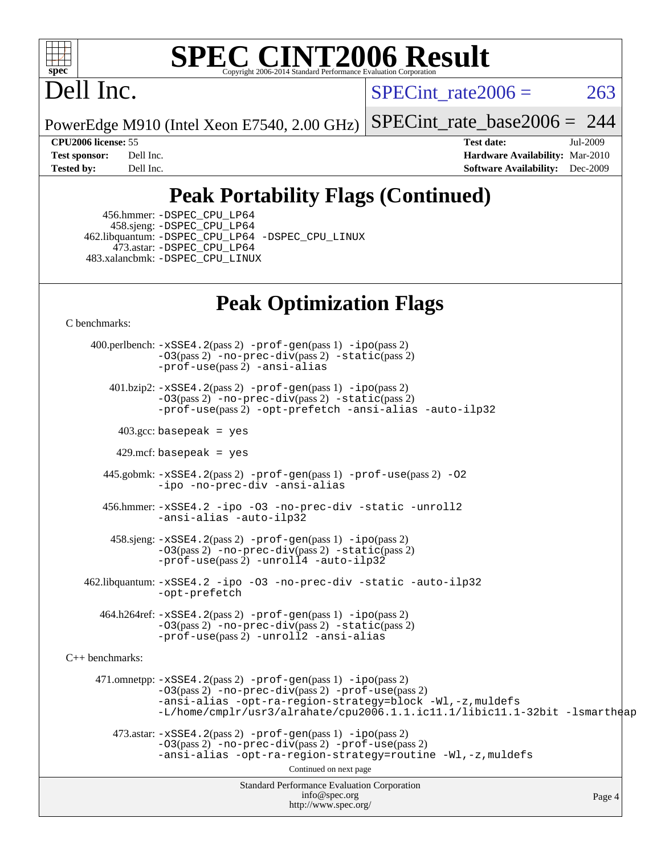

# Dell Inc.

SPECint rate $2006 = 263$ 

PowerEdge M910 (Intel Xeon E7540, 2.00 GHz) [SPECint\\_rate\\_base2006 =](http://www.spec.org/auto/cpu2006/Docs/result-fields.html#SPECintratebase2006) 244

**[CPU2006 license:](http://www.spec.org/auto/cpu2006/Docs/result-fields.html#CPU2006license)** 55 **[Test date:](http://www.spec.org/auto/cpu2006/Docs/result-fields.html#Testdate)** Jul-2009 **[Test sponsor:](http://www.spec.org/auto/cpu2006/Docs/result-fields.html#Testsponsor)** Dell Inc. **[Hardware Availability:](http://www.spec.org/auto/cpu2006/Docs/result-fields.html#HardwareAvailability)** Mar-2010 **[Tested by:](http://www.spec.org/auto/cpu2006/Docs/result-fields.html#Testedby)** Dell Inc. **[Software Availability:](http://www.spec.org/auto/cpu2006/Docs/result-fields.html#SoftwareAvailability)** Dec-2009

### **[Peak Portability Flags \(Continued\)](http://www.spec.org/auto/cpu2006/Docs/result-fields.html#PeakPortabilityFlags)**

 456.hmmer: [-DSPEC\\_CPU\\_LP64](http://www.spec.org/cpu2006/results/res2010q3/cpu2006-20100607-11600.flags.html#suite_peakCPORTABILITY456_hmmer_DSPEC_CPU_LP64) 458.sjeng: [-DSPEC\\_CPU\\_LP64](http://www.spec.org/cpu2006/results/res2010q3/cpu2006-20100607-11600.flags.html#suite_peakCPORTABILITY458_sjeng_DSPEC_CPU_LP64) 462.libquantum: [-DSPEC\\_CPU\\_LP64](http://www.spec.org/cpu2006/results/res2010q3/cpu2006-20100607-11600.flags.html#suite_peakCPORTABILITY462_libquantum_DSPEC_CPU_LP64) [-DSPEC\\_CPU\\_LINUX](http://www.spec.org/cpu2006/results/res2010q3/cpu2006-20100607-11600.flags.html#b462.libquantum_peakCPORTABILITY_DSPEC_CPU_LINUX) 473.astar: [-DSPEC\\_CPU\\_LP64](http://www.spec.org/cpu2006/results/res2010q3/cpu2006-20100607-11600.flags.html#suite_peakCXXPORTABILITY473_astar_DSPEC_CPU_LP64) 483.xalancbmk: [-DSPEC\\_CPU\\_LINUX](http://www.spec.org/cpu2006/results/res2010q3/cpu2006-20100607-11600.flags.html#b483.xalancbmk_peakCXXPORTABILITY_DSPEC_CPU_LINUX)

#### **[Peak Optimization Flags](http://www.spec.org/auto/cpu2006/Docs/result-fields.html#PeakOptimizationFlags)**

[C benchmarks](http://www.spec.org/auto/cpu2006/Docs/result-fields.html#Cbenchmarks):

Standard Performance Evaluation Corporation [info@spec.org](mailto:info@spec.org) <http://www.spec.org/> Page 4 400.perlbench: [-xSSE4.2](http://www.spec.org/cpu2006/results/res2010q3/cpu2006-20100607-11600.flags.html#user_peakPASS2_CFLAGSPASS2_LDCFLAGS400_perlbench_f-xSSE42_f91528193cf0b216347adb8b939d4107)(pass 2) [-prof-gen](http://www.spec.org/cpu2006/results/res2010q3/cpu2006-20100607-11600.flags.html#user_peakPASS1_CFLAGSPASS1_LDCFLAGS400_perlbench_prof_gen_e43856698f6ca7b7e442dfd80e94a8fc)(pass 1) [-ipo](http://www.spec.org/cpu2006/results/res2010q3/cpu2006-20100607-11600.flags.html#user_peakPASS2_CFLAGSPASS2_LDCFLAGS400_perlbench_f-ipo)(pass 2) [-O3](http://www.spec.org/cpu2006/results/res2010q3/cpu2006-20100607-11600.flags.html#user_peakPASS2_CFLAGSPASS2_LDCFLAGS400_perlbench_f-O3)(pass 2) [-no-prec-div](http://www.spec.org/cpu2006/results/res2010q3/cpu2006-20100607-11600.flags.html#user_peakPASS2_CFLAGSPASS2_LDCFLAGS400_perlbench_f-no-prec-div)(pass 2) [-static](http://www.spec.org/cpu2006/results/res2010q3/cpu2006-20100607-11600.flags.html#user_peakPASS2_CFLAGSPASS2_LDCFLAGS400_perlbench_f-static)(pass 2) [-prof-use](http://www.spec.org/cpu2006/results/res2010q3/cpu2006-20100607-11600.flags.html#user_peakPASS2_CFLAGSPASS2_LDCFLAGS400_perlbench_prof_use_bccf7792157ff70d64e32fe3e1250b55)(pass 2) [-ansi-alias](http://www.spec.org/cpu2006/results/res2010q3/cpu2006-20100607-11600.flags.html#user_peakCOPTIMIZE400_perlbench_f-ansi-alias) 401.bzip2: [-xSSE4.2](http://www.spec.org/cpu2006/results/res2010q3/cpu2006-20100607-11600.flags.html#user_peakPASS2_CFLAGSPASS2_LDCFLAGS401_bzip2_f-xSSE42_f91528193cf0b216347adb8b939d4107)(pass 2) [-prof-gen](http://www.spec.org/cpu2006/results/res2010q3/cpu2006-20100607-11600.flags.html#user_peakPASS1_CFLAGSPASS1_LDCFLAGS401_bzip2_prof_gen_e43856698f6ca7b7e442dfd80e94a8fc)(pass 1) [-ipo](http://www.spec.org/cpu2006/results/res2010q3/cpu2006-20100607-11600.flags.html#user_peakPASS2_CFLAGSPASS2_LDCFLAGS401_bzip2_f-ipo)(pass 2) [-O3](http://www.spec.org/cpu2006/results/res2010q3/cpu2006-20100607-11600.flags.html#user_peakPASS2_CFLAGSPASS2_LDCFLAGS401_bzip2_f-O3)(pass 2) [-no-prec-div](http://www.spec.org/cpu2006/results/res2010q3/cpu2006-20100607-11600.flags.html#user_peakPASS2_CFLAGSPASS2_LDCFLAGS401_bzip2_f-no-prec-div)(pass 2) [-static](http://www.spec.org/cpu2006/results/res2010q3/cpu2006-20100607-11600.flags.html#user_peakPASS2_CFLAGSPASS2_LDCFLAGS401_bzip2_f-static)(pass 2) [-prof-use](http://www.spec.org/cpu2006/results/res2010q3/cpu2006-20100607-11600.flags.html#user_peakPASS2_CFLAGSPASS2_LDCFLAGS401_bzip2_prof_use_bccf7792157ff70d64e32fe3e1250b55)(pass 2) [-opt-prefetch](http://www.spec.org/cpu2006/results/res2010q3/cpu2006-20100607-11600.flags.html#user_peakCOPTIMIZE401_bzip2_f-opt-prefetch) [-ansi-alias](http://www.spec.org/cpu2006/results/res2010q3/cpu2006-20100607-11600.flags.html#user_peakCOPTIMIZE401_bzip2_f-ansi-alias) [-auto-ilp32](http://www.spec.org/cpu2006/results/res2010q3/cpu2006-20100607-11600.flags.html#user_peakCOPTIMIZE401_bzip2_f-auto-ilp32)  $403.\text{gcc: basepeak}$  = yes  $429$ .mcf: basepeak = yes 445.gobmk: [-xSSE4.2](http://www.spec.org/cpu2006/results/res2010q3/cpu2006-20100607-11600.flags.html#user_peakPASS2_CFLAGSPASS2_LDCFLAGS445_gobmk_f-xSSE42_f91528193cf0b216347adb8b939d4107)(pass 2) [-prof-gen](http://www.spec.org/cpu2006/results/res2010q3/cpu2006-20100607-11600.flags.html#user_peakPASS1_CFLAGSPASS1_LDCFLAGS445_gobmk_prof_gen_e43856698f6ca7b7e442dfd80e94a8fc)(pass 1) [-prof-use](http://www.spec.org/cpu2006/results/res2010q3/cpu2006-20100607-11600.flags.html#user_peakPASS2_CFLAGSPASS2_LDCFLAGS445_gobmk_prof_use_bccf7792157ff70d64e32fe3e1250b55)(pass 2) [-O2](http://www.spec.org/cpu2006/results/res2010q3/cpu2006-20100607-11600.flags.html#user_peakCOPTIMIZE445_gobmk_f-O2) [-ipo](http://www.spec.org/cpu2006/results/res2010q3/cpu2006-20100607-11600.flags.html#user_peakCOPTIMIZE445_gobmk_f-ipo) [-no-prec-div](http://www.spec.org/cpu2006/results/res2010q3/cpu2006-20100607-11600.flags.html#user_peakCOPTIMIZE445_gobmk_f-no-prec-div) [-ansi-alias](http://www.spec.org/cpu2006/results/res2010q3/cpu2006-20100607-11600.flags.html#user_peakCOPTIMIZE445_gobmk_f-ansi-alias) 456.hmmer: [-xSSE4.2](http://www.spec.org/cpu2006/results/res2010q3/cpu2006-20100607-11600.flags.html#user_peakCOPTIMIZE456_hmmer_f-xSSE42_f91528193cf0b216347adb8b939d4107) [-ipo](http://www.spec.org/cpu2006/results/res2010q3/cpu2006-20100607-11600.flags.html#user_peakCOPTIMIZE456_hmmer_f-ipo) [-O3](http://www.spec.org/cpu2006/results/res2010q3/cpu2006-20100607-11600.flags.html#user_peakCOPTIMIZE456_hmmer_f-O3) [-no-prec-div](http://www.spec.org/cpu2006/results/res2010q3/cpu2006-20100607-11600.flags.html#user_peakCOPTIMIZE456_hmmer_f-no-prec-div) [-static](http://www.spec.org/cpu2006/results/res2010q3/cpu2006-20100607-11600.flags.html#user_peakCOPTIMIZE456_hmmer_f-static) [-unroll2](http://www.spec.org/cpu2006/results/res2010q3/cpu2006-20100607-11600.flags.html#user_peakCOPTIMIZE456_hmmer_f-unroll_784dae83bebfb236979b41d2422d7ec2) [-ansi-alias](http://www.spec.org/cpu2006/results/res2010q3/cpu2006-20100607-11600.flags.html#user_peakCOPTIMIZE456_hmmer_f-ansi-alias) [-auto-ilp32](http://www.spec.org/cpu2006/results/res2010q3/cpu2006-20100607-11600.flags.html#user_peakCOPTIMIZE456_hmmer_f-auto-ilp32) 458.sjeng: [-xSSE4.2](http://www.spec.org/cpu2006/results/res2010q3/cpu2006-20100607-11600.flags.html#user_peakPASS2_CFLAGSPASS2_LDCFLAGS458_sjeng_f-xSSE42_f91528193cf0b216347adb8b939d4107)(pass 2) [-prof-gen](http://www.spec.org/cpu2006/results/res2010q3/cpu2006-20100607-11600.flags.html#user_peakPASS1_CFLAGSPASS1_LDCFLAGS458_sjeng_prof_gen_e43856698f6ca7b7e442dfd80e94a8fc)(pass 1) [-ipo](http://www.spec.org/cpu2006/results/res2010q3/cpu2006-20100607-11600.flags.html#user_peakPASS2_CFLAGSPASS2_LDCFLAGS458_sjeng_f-ipo)(pass 2) [-O3](http://www.spec.org/cpu2006/results/res2010q3/cpu2006-20100607-11600.flags.html#user_peakPASS2_CFLAGSPASS2_LDCFLAGS458_sjeng_f-O3)(pass 2) [-no-prec-div](http://www.spec.org/cpu2006/results/res2010q3/cpu2006-20100607-11600.flags.html#user_peakPASS2_CFLAGSPASS2_LDCFLAGS458_sjeng_f-no-prec-div)(pass 2) [-static](http://www.spec.org/cpu2006/results/res2010q3/cpu2006-20100607-11600.flags.html#user_peakPASS2_CFLAGSPASS2_LDCFLAGS458_sjeng_f-static)(pass 2) [-prof-use](http://www.spec.org/cpu2006/results/res2010q3/cpu2006-20100607-11600.flags.html#user_peakPASS2_CFLAGSPASS2_LDCFLAGS458_sjeng_prof_use_bccf7792157ff70d64e32fe3e1250b55)(pass 2) [-unroll4](http://www.spec.org/cpu2006/results/res2010q3/cpu2006-20100607-11600.flags.html#user_peakCOPTIMIZE458_sjeng_f-unroll_4e5e4ed65b7fd20bdcd365bec371b81f) [-auto-ilp32](http://www.spec.org/cpu2006/results/res2010q3/cpu2006-20100607-11600.flags.html#user_peakCOPTIMIZE458_sjeng_f-auto-ilp32) 462.libquantum: [-xSSE4.2](http://www.spec.org/cpu2006/results/res2010q3/cpu2006-20100607-11600.flags.html#user_peakCOPTIMIZE462_libquantum_f-xSSE42_f91528193cf0b216347adb8b939d4107) [-ipo](http://www.spec.org/cpu2006/results/res2010q3/cpu2006-20100607-11600.flags.html#user_peakCOPTIMIZE462_libquantum_f-ipo) [-O3](http://www.spec.org/cpu2006/results/res2010q3/cpu2006-20100607-11600.flags.html#user_peakCOPTIMIZE462_libquantum_f-O3) [-no-prec-div](http://www.spec.org/cpu2006/results/res2010q3/cpu2006-20100607-11600.flags.html#user_peakCOPTIMIZE462_libquantum_f-no-prec-div) [-static](http://www.spec.org/cpu2006/results/res2010q3/cpu2006-20100607-11600.flags.html#user_peakCOPTIMIZE462_libquantum_f-static) [-auto-ilp32](http://www.spec.org/cpu2006/results/res2010q3/cpu2006-20100607-11600.flags.html#user_peakCOPTIMIZE462_libquantum_f-auto-ilp32) [-opt-prefetch](http://www.spec.org/cpu2006/results/res2010q3/cpu2006-20100607-11600.flags.html#user_peakCOPTIMIZE462_libquantum_f-opt-prefetch) 464.h264ref: [-xSSE4.2](http://www.spec.org/cpu2006/results/res2010q3/cpu2006-20100607-11600.flags.html#user_peakPASS2_CFLAGSPASS2_LDCFLAGS464_h264ref_f-xSSE42_f91528193cf0b216347adb8b939d4107)(pass 2) [-prof-gen](http://www.spec.org/cpu2006/results/res2010q3/cpu2006-20100607-11600.flags.html#user_peakPASS1_CFLAGSPASS1_LDCFLAGS464_h264ref_prof_gen_e43856698f6ca7b7e442dfd80e94a8fc)(pass 1) [-ipo](http://www.spec.org/cpu2006/results/res2010q3/cpu2006-20100607-11600.flags.html#user_peakPASS2_CFLAGSPASS2_LDCFLAGS464_h264ref_f-ipo)(pass 2) [-O3](http://www.spec.org/cpu2006/results/res2010q3/cpu2006-20100607-11600.flags.html#user_peakPASS2_CFLAGSPASS2_LDCFLAGS464_h264ref_f-O3)(pass 2) [-no-prec-div](http://www.spec.org/cpu2006/results/res2010q3/cpu2006-20100607-11600.flags.html#user_peakPASS2_CFLAGSPASS2_LDCFLAGS464_h264ref_f-no-prec-div)(pass 2) [-static](http://www.spec.org/cpu2006/results/res2010q3/cpu2006-20100607-11600.flags.html#user_peakPASS2_CFLAGSPASS2_LDCFLAGS464_h264ref_f-static)(pass 2) [-prof-use](http://www.spec.org/cpu2006/results/res2010q3/cpu2006-20100607-11600.flags.html#user_peakPASS2_CFLAGSPASS2_LDCFLAGS464_h264ref_prof_use_bccf7792157ff70d64e32fe3e1250b55)(pass 2) [-unroll2](http://www.spec.org/cpu2006/results/res2010q3/cpu2006-20100607-11600.flags.html#user_peakCOPTIMIZE464_h264ref_f-unroll_784dae83bebfb236979b41d2422d7ec2) [-ansi-alias](http://www.spec.org/cpu2006/results/res2010q3/cpu2006-20100607-11600.flags.html#user_peakCOPTIMIZE464_h264ref_f-ansi-alias) [C++ benchmarks:](http://www.spec.org/auto/cpu2006/Docs/result-fields.html#CXXbenchmarks) 471.omnetpp: [-xSSE4.2](http://www.spec.org/cpu2006/results/res2010q3/cpu2006-20100607-11600.flags.html#user_peakPASS2_CXXFLAGSPASS2_LDCXXFLAGS471_omnetpp_f-xSSE42_f91528193cf0b216347adb8b939d4107)(pass 2) [-prof-gen](http://www.spec.org/cpu2006/results/res2010q3/cpu2006-20100607-11600.flags.html#user_peakPASS1_CXXFLAGSPASS1_LDCXXFLAGS471_omnetpp_prof_gen_e43856698f6ca7b7e442dfd80e94a8fc)(pass 1) [-ipo](http://www.spec.org/cpu2006/results/res2010q3/cpu2006-20100607-11600.flags.html#user_peakPASS2_CXXFLAGSPASS2_LDCXXFLAGS471_omnetpp_f-ipo)(pass 2) [-O3](http://www.spec.org/cpu2006/results/res2010q3/cpu2006-20100607-11600.flags.html#user_peakPASS2_CXXFLAGSPASS2_LDCXXFLAGS471_omnetpp_f-O3)(pass 2) [-no-prec-div](http://www.spec.org/cpu2006/results/res2010q3/cpu2006-20100607-11600.flags.html#user_peakPASS2_CXXFLAGSPASS2_LDCXXFLAGS471_omnetpp_f-no-prec-div)(pass 2) [-prof-use](http://www.spec.org/cpu2006/results/res2010q3/cpu2006-20100607-11600.flags.html#user_peakPASS2_CXXFLAGSPASS2_LDCXXFLAGS471_omnetpp_prof_use_bccf7792157ff70d64e32fe3e1250b55)(pass 2) [-ansi-alias](http://www.spec.org/cpu2006/results/res2010q3/cpu2006-20100607-11600.flags.html#user_peakCXXOPTIMIZE471_omnetpp_f-ansi-alias) [-opt-ra-region-strategy=block](http://www.spec.org/cpu2006/results/res2010q3/cpu2006-20100607-11600.flags.html#user_peakCXXOPTIMIZE471_omnetpp_f-opt-ra-region-strategy-block_a0a37c372d03933b2a18d4af463c1f69) [-Wl,-z,muldefs](http://www.spec.org/cpu2006/results/res2010q3/cpu2006-20100607-11600.flags.html#user_peakEXTRA_LDFLAGS471_omnetpp_link_force_multiple1_74079c344b956b9658436fd1b6dd3a8a) [-L/home/cmplr/usr3/alrahate/cpu2006.1.1.ic11.1/libic11.1-32bit -lsmartheap](http://www.spec.org/cpu2006/results/res2010q3/cpu2006-20100607-11600.flags.html#user_peakEXTRA_LIBS471_omnetpp_SmartHeap_d86dffe4a79b79ef8890d5cce17030c3)  $473.\text{astar: } -xSSE4$ .  $2(\text{pass 2})$   $-\text{prof-gen}(\text{pass 1})$   $-i\text{po}(\text{pass 2})$ [-O3](http://www.spec.org/cpu2006/results/res2010q3/cpu2006-20100607-11600.flags.html#user_peakPASS2_CXXFLAGSPASS2_LDCXXFLAGS473_astar_f-O3)(pass 2) [-no-prec-div](http://www.spec.org/cpu2006/results/res2010q3/cpu2006-20100607-11600.flags.html#user_peakPASS2_CXXFLAGSPASS2_LDCXXFLAGS473_astar_f-no-prec-div)(pass 2) [-prof-use](http://www.spec.org/cpu2006/results/res2010q3/cpu2006-20100607-11600.flags.html#user_peakPASS2_CXXFLAGSPASS2_LDCXXFLAGS473_astar_prof_use_bccf7792157ff70d64e32fe3e1250b55)(pass 2) [-ansi-alias](http://www.spec.org/cpu2006/results/res2010q3/cpu2006-20100607-11600.flags.html#user_peakCXXOPTIMIZE473_astar_f-ansi-alias) [-opt-ra-region-strategy=routine](http://www.spec.org/cpu2006/results/res2010q3/cpu2006-20100607-11600.flags.html#user_peakCXXOPTIMIZE473_astar_f-opt-ra-region-strategy-routine_ba086ea3b1d46a52e1238e2ca173ed44) [-Wl,-z,muldefs](http://www.spec.org/cpu2006/results/res2010q3/cpu2006-20100607-11600.flags.html#user_peakEXTRA_LDFLAGS473_astar_link_force_multiple1_74079c344b956b9658436fd1b6dd3a8a) Continued on next page